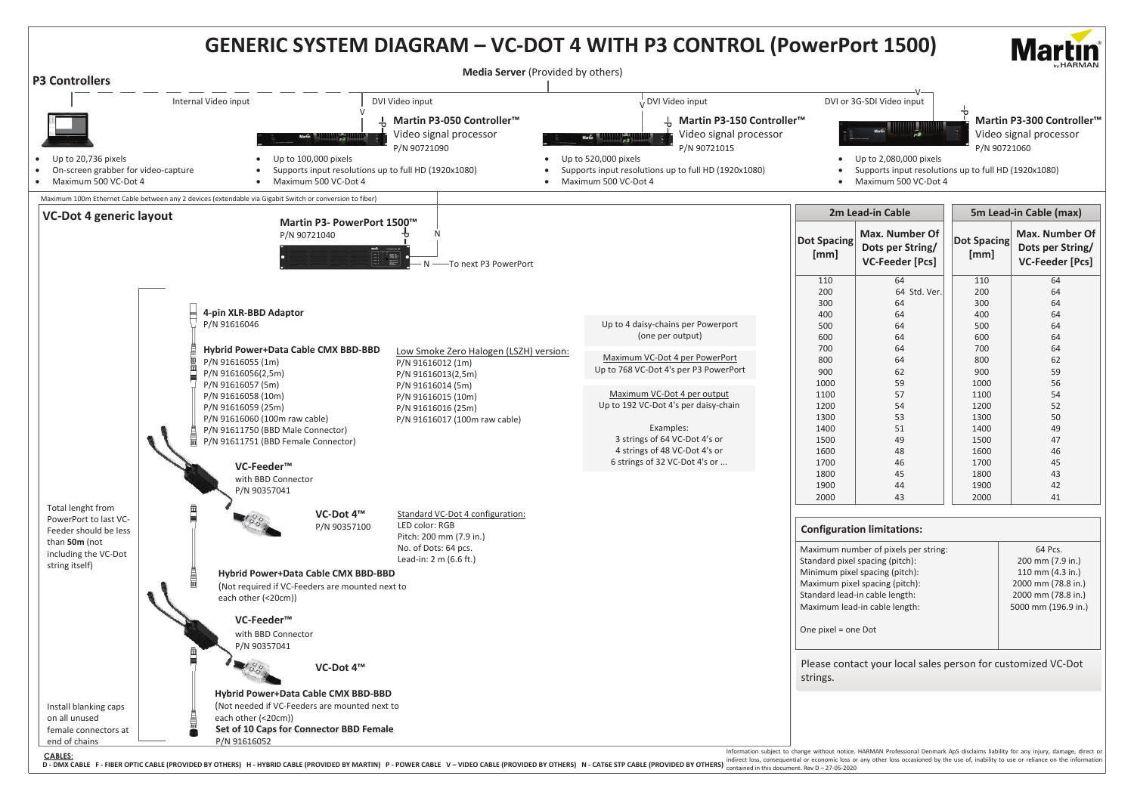## **GENERIC SYSTEM DIAGRAM – VC-DOT 4 WITH P3 CONTROL (PowerPort 1500)**

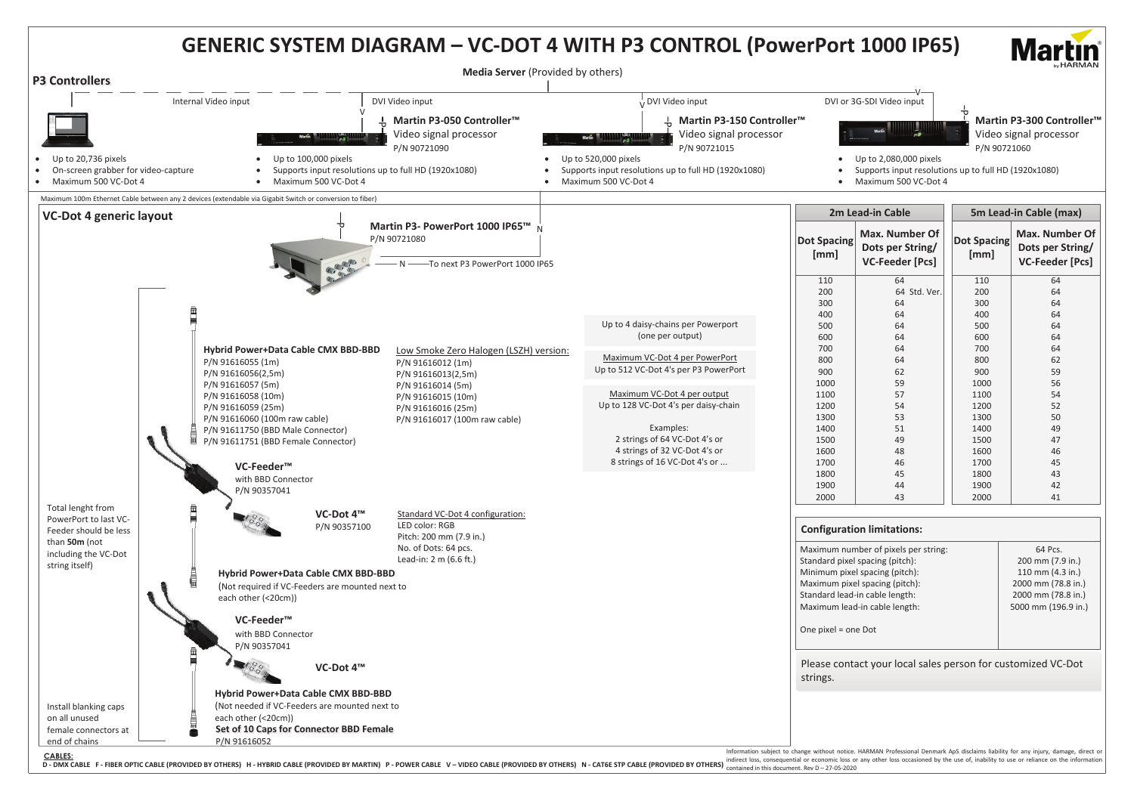

D-DMX CABLE F-FIBER OPTIC CABLE (PROVIDED BY OTHERS) H-HYBRID CABLE (PROVIDED BY MARTIN) P-POWER CABLE V-VIDEO CABLE (PROVIDED BY OTHERS) N-CAT6E STP CABLE (PROVIDED BY OTHERS) consequential or economic loss or any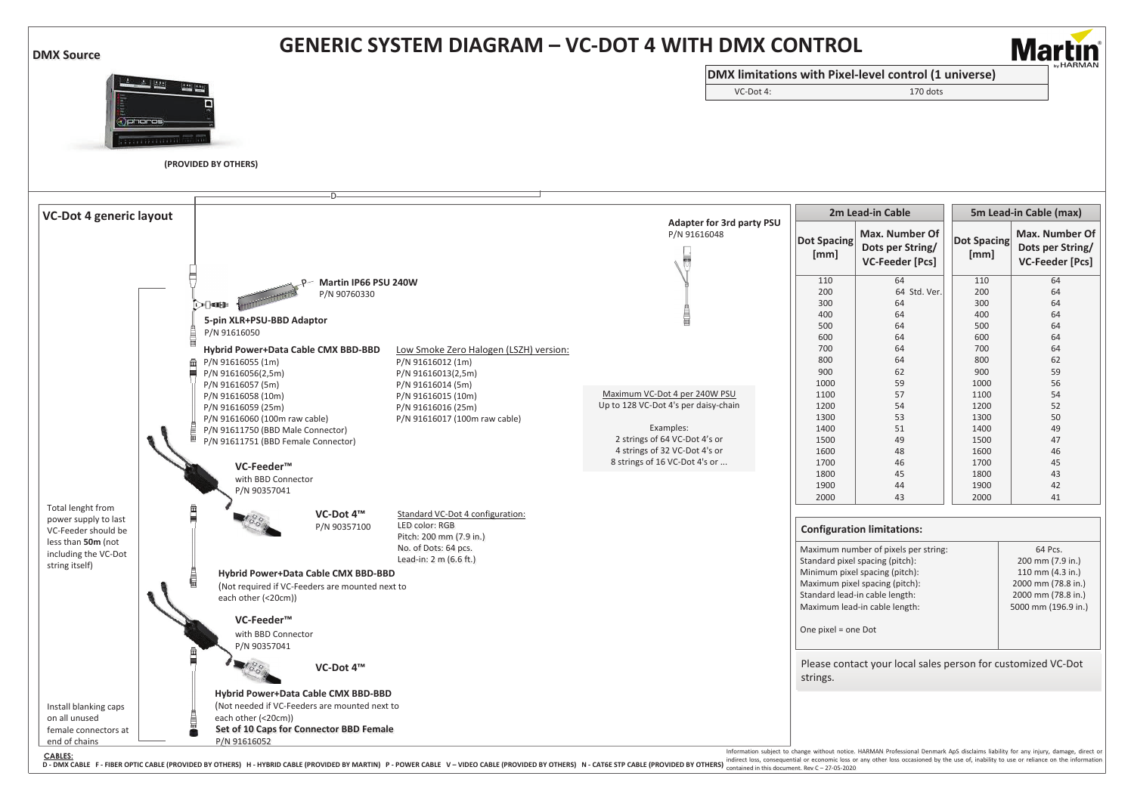| <b>DMX Source</b>                                                                                                                |                                                                                                                                                                                                                                                                                                                                                                                                                                                                                                                                                                                                                                                                                                                                                                                                                                                                                                                                                                           | <b>GENERIC SYSTEM DIAGRAM - VC-DOT 4 WITH DMX CONTROL</b>                                                                                                                             |                                                                                                                                                                            |                                                                                                                                                                                                                                                                                                                                                                                       |                                                                                                                                                     |                                                                                                                                                                                                                                            |  |
|----------------------------------------------------------------------------------------------------------------------------------|---------------------------------------------------------------------------------------------------------------------------------------------------------------------------------------------------------------------------------------------------------------------------------------------------------------------------------------------------------------------------------------------------------------------------------------------------------------------------------------------------------------------------------------------------------------------------------------------------------------------------------------------------------------------------------------------------------------------------------------------------------------------------------------------------------------------------------------------------------------------------------------------------------------------------------------------------------------------------|---------------------------------------------------------------------------------------------------------------------------------------------------------------------------------------|----------------------------------------------------------------------------------------------------------------------------------------------------------------------------|---------------------------------------------------------------------------------------------------------------------------------------------------------------------------------------------------------------------------------------------------------------------------------------------------------------------------------------------------------------------------------------|-----------------------------------------------------------------------------------------------------------------------------------------------------|--------------------------------------------------------------------------------------------------------------------------------------------------------------------------------------------------------------------------------------------|--|
|                                                                                                                                  |                                                                                                                                                                                                                                                                                                                                                                                                                                                                                                                                                                                                                                                                                                                                                                                                                                                                                                                                                                           |                                                                                                                                                                                       | DMX limitations with Pixel-level control (1 universe)                                                                                                                      |                                                                                                                                                                                                                                                                                                                                                                                       |                                                                                                                                                     | <b>Martin</b>                                                                                                                                                                                                                              |  |
| $4 - 11531$                                                                                                                      | <b>Tractic</b>                                                                                                                                                                                                                                                                                                                                                                                                                                                                                                                                                                                                                                                                                                                                                                                                                                                                                                                                                            | VC-Dot 4:                                                                                                                                                                             |                                                                                                                                                                            | 170 dots                                                                                                                                                                                                                                                                                                                                                                              |                                                                                                                                                     |                                                                                                                                                                                                                                            |  |
| <b>x</b> )phoros                                                                                                                 | (PROVIDED BY OTHERS)<br>-D-                                                                                                                                                                                                                                                                                                                                                                                                                                                                                                                                                                                                                                                                                                                                                                                                                                                                                                                                               |                                                                                                                                                                                       |                                                                                                                                                                            |                                                                                                                                                                                                                                                                                                                                                                                       |                                                                                                                                                     |                                                                                                                                                                                                                                            |  |
| <b>VC-Dot 4 generic layout</b>                                                                                                   |                                                                                                                                                                                                                                                                                                                                                                                                                                                                                                                                                                                                                                                                                                                                                                                                                                                                                                                                                                           |                                                                                                                                                                                       | 2m Lead-in Cable                                                                                                                                                           |                                                                                                                                                                                                                                                                                                                                                                                       | 5m Lead-in Cable (max)                                                                                                                              |                                                                                                                                                                                                                                            |  |
|                                                                                                                                  |                                                                                                                                                                                                                                                                                                                                                                                                                                                                                                                                                                                                                                                                                                                                                                                                                                                                                                                                                                           | Adapter for 3rd party PSU<br>P/N 91616048                                                                                                                                             | <b>Dot Spacing</b><br>[mm]                                                                                                                                                 | Max. Number Of<br>Dots per String/<br>VC-Feeder [Pcs]                                                                                                                                                                                                                                                                                                                                 | <b>Dot Spacing</b><br>[mm]                                                                                                                          | Max. Number Of<br>Dots per String/<br>VC-Feeder [Pcs]                                                                                                                                                                                      |  |
| Total lenght from<br>power supply to last<br>VC-Feeder should be<br>less than 50m (not<br>including the VC-Dot<br>string itself) | -P- Martin IP66 PSU 240W<br>P/N 90760330<br>ા⊖⊣ાવા⊟⊪<br>5-pin XLR+PSU-BBD Adaptor<br>P/N 91616050<br>Hybrid Power+Data Cable CMX BBD-BBD<br>Low Smoke Zero Halogen (LSZH) version:<br>P/N 91616055 (1m)<br>P/N 91616012 (1m)<br>P/N 91616056(2,5m)<br>P/N 91616013(2,5m)<br>P/N 91616014 (5m)<br>P/N 91616057 (5m)<br>P/N 91616058 (10m)<br>P/N 91616015 (10m)<br>P/N 91616059 (25m)<br>P/N 91616016 (25m)<br>P/N 91616060 (100m raw cable)<br>P/N 91616017 (100m raw cable)<br>P/N 91611750 (BBD Male Connector)<br>P/N 91611751 (BBD Female Connector)<br>VC-Feeder <sup>™</sup><br>with BBD Connector<br>P/N 90357041<br>VC-Dot 4™<br>Standard VC-Dot 4 configuration:<br>LED color: RGB<br>P/N 90357100<br>Pitch: 200 mm (7.9 in.)<br>No. of Dots: 64 pcs.<br>Lead-in: 2 m (6.6 ft.)<br>Hybrid Power+Data Cable CMX BBD-BBD<br>(Not required if VC-Feeders are mounted next to<br>each other (<20cm))<br>VC-Feeder <sup>™</sup><br>with BBD Connector<br>P/N 90357041 | Maximum VC-Dot 4 per 240W PSU<br>Up to 128 VC-Dot 4's per daisy-chain<br>Examples:<br>2 strings of 64 VC-Dot 4's or<br>4 strings of 32 VC-Dot 4's or<br>8 strings of 16 VC-Dot 4's or | 110<br>200<br>300<br>400<br>500<br>600<br>700<br>800<br>900<br>1000<br>1100<br>1200<br>1300<br>1400<br>1500<br>1600<br>1700<br>1800<br>1900<br>2000<br>One pixel = one Dot | 64<br>64 Std. Ver.<br>64<br>64<br>64<br>64<br>64<br>64<br>62<br>59<br>57<br>54<br>53<br>51<br>49<br>48<br>46<br>45<br>44<br>43<br><b>Configuration limitations:</b><br>Maximum number of pixels per string:<br>Standard pixel spacing (pitch):<br>Minimum pixel spacing (pitch):<br>Maximum pixel spacing (pitch):<br>Standard lead-in cable length:<br>Maximum lead-in cable length: | 110<br>200<br>300<br>400<br>500<br>600<br>700<br>800<br>900<br>1000<br>1100<br>1200<br>1300<br>1400<br>1500<br>1600<br>1700<br>1800<br>1900<br>2000 | 64<br>64<br>64<br>64<br>64<br>64<br>64<br>62<br>59<br>56<br>54<br>52<br>50<br>49<br>47<br>46<br>45<br>43<br>42<br>41<br>64 Pcs.<br>200 mm (7.9 in.)<br>110 mm (4.3 in.)<br>2000 mm (78.8 in.)<br>2000 mm (78.8 in.)<br>5000 mm (196.9 in.) |  |
| Install blanking caps<br>on all unused<br>female connectors at                                                                   | VC-Dot 4™<br>Hybrid Power+Data Cable CMX BBD-BBD<br>(Not needed if VC-Feeders are mounted next to<br>each other (<20cm))<br>Set of 10 Caps for Connector BBD Female                                                                                                                                                                                                                                                                                                                                                                                                                                                                                                                                                                                                                                                                                                                                                                                                       |                                                                                                                                                                                       | strings.                                                                                                                                                                   | Please contact your local sales person for customized VC-Dot                                                                                                                                                                                                                                                                                                                          |                                                                                                                                                     |                                                                                                                                                                                                                                            |  |
| end of chains                                                                                                                    | P/N 91616052                                                                                                                                                                                                                                                                                                                                                                                                                                                                                                                                                                                                                                                                                                                                                                                                                                                                                                                                                              |                                                                                                                                                                                       |                                                                                                                                                                            | Information subject to change without notice. HARMAN Professional Denmark AnS disclaims liability for any injury                                                                                                                                                                                                                                                                      |                                                                                                                                                     |                                                                                                                                                                                                                                            |  |

Information subject to change without notice. HARMAN Professional Denmark ApS disclaims liability for any injury, damage, direct or<br>indirect loss, consequential or economic loss or any other loss occasioned by the use of,

CABLES: Incommutation substanting the Section of ASS and the Section of Section ASS and ASS and Demand ASS and Demand ASS and Demand ASS and Demand ASS and Demand ASS and Demand ASS and Demand ASS and Demand ASS and Demand **D - DMX CABLE F - FIBER OPTIC CABLE (PROVIDED BY OTHERS) H - HYBRID CABLE (PROVIDED BY MARTIN) P - POWER CABLE V – VIDEO CABLE (PROVIDED BY OTHERS) N - CAT6E STP CABLE (PROVIDED BY OTHERS)**